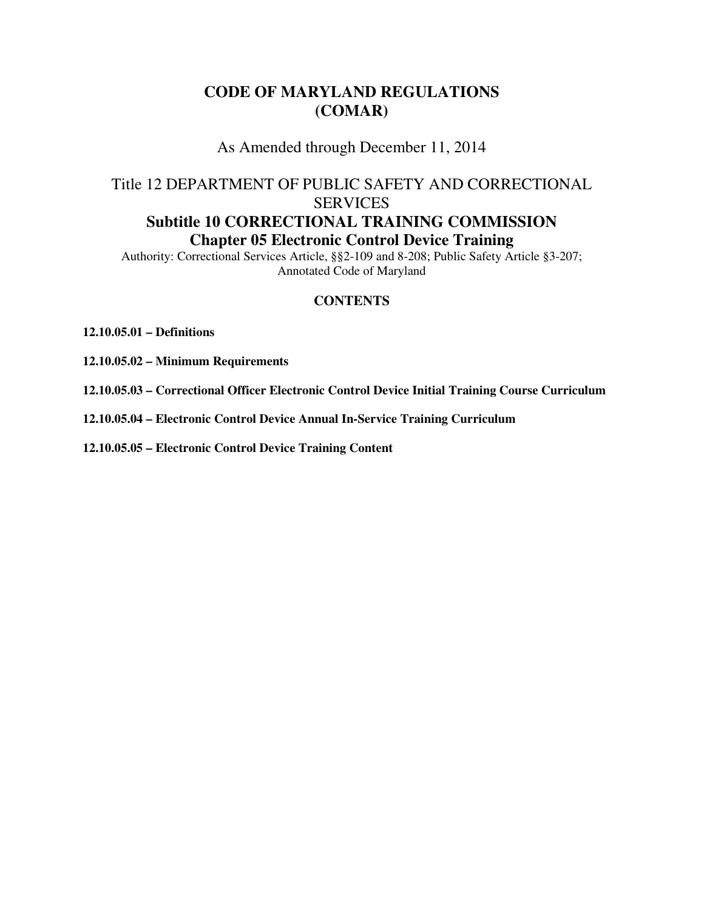# **CODE OF MARYLAND REGULATIONS (COMAR)**

As Amended through December 11, 2014

# Title 12 DEPARTMENT OF PUBLIC SAFETY AND CORRECTIONAL **SERVICES Subtitle 10 CORRECTIONAL TRAINING COMMISSION Chapter 05 Electronic Control Device Training**

Authority: Correctional Services Article, §§2-109 and 8-208; Public Safety Article §3-207; Annotated Code of Maryland

#### **CONTENTS**

**12.10.05.01 – Definitions** 

**12.10.05.02 – Minimum Requirements** 

**12.10.05.03 – Correctional Officer Electronic Control Device Initial Training Course Curriculum** 

**12.10.05.04 – Electronic Control Device Annual In-Service Training Curriculum** 

**12.10.05.05 – Electronic Control Device Training Content**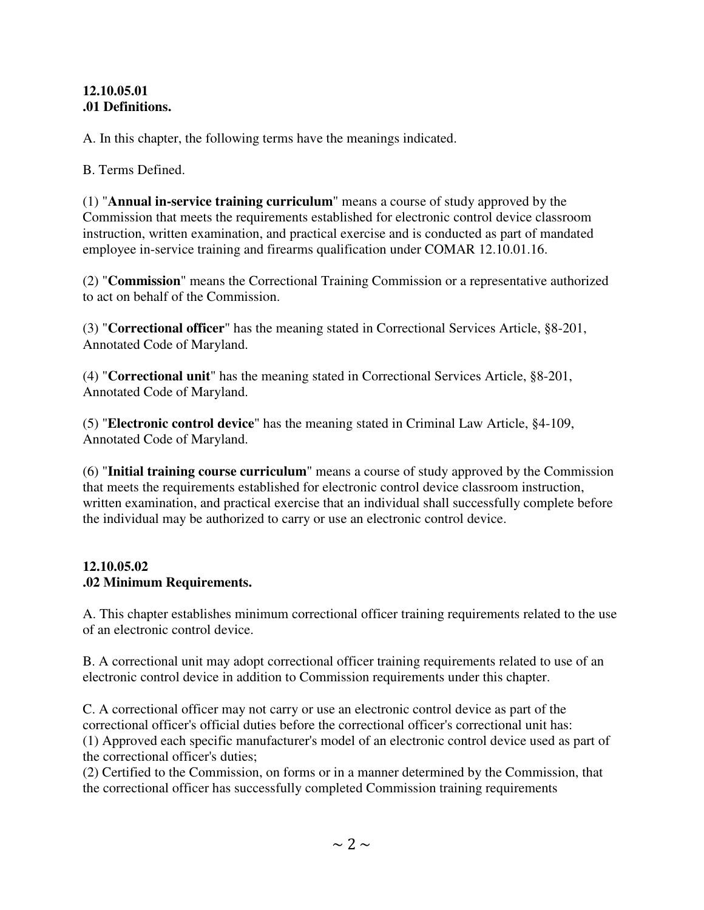#### **12.10.05.01 .01 Definitions.**

A. In this chapter, the following terms have the meanings indicated.

B. Terms Defined.

(1) "**Annual in-service training curriculum**" means a course of study approved by the Commission that meets the requirements established for electronic control device classroom instruction, written examination, and practical exercise and is conducted as part of mandated employee in-service training and firearms qualification under COMAR 12.10.01.16.

(2) "**Commission**" means the Correctional Training Commission or a representative authorized to act on behalf of the Commission.

(3) "**Correctional officer**" has the meaning stated in Correctional Services Article, §8-201, Annotated Code of Maryland.

(4) "**Correctional unit**" has the meaning stated in Correctional Services Article, §8-201, Annotated Code of Maryland.

(5) "**Electronic control device**" has the meaning stated in Criminal Law Article, §4-109, Annotated Code of Maryland.

(6) "**Initial training course curriculum**" means a course of study approved by the Commission that meets the requirements established for electronic control device classroom instruction, written examination, and practical exercise that an individual shall successfully complete before the individual may be authorized to carry or use an electronic control device.

### **12.10.05.02 .02 Minimum Requirements.**

A. This chapter establishes minimum correctional officer training requirements related to the use of an electronic control device.

B. A correctional unit may adopt correctional officer training requirements related to use of an electronic control device in addition to Commission requirements under this chapter.

C. A correctional officer may not carry or use an electronic control device as part of the correctional officer's official duties before the correctional officer's correctional unit has:

(1) Approved each specific manufacturer's model of an electronic control device used as part of the correctional officer's duties;

(2) Certified to the Commission, on forms or in a manner determined by the Commission, that the correctional officer has successfully completed Commission training requirements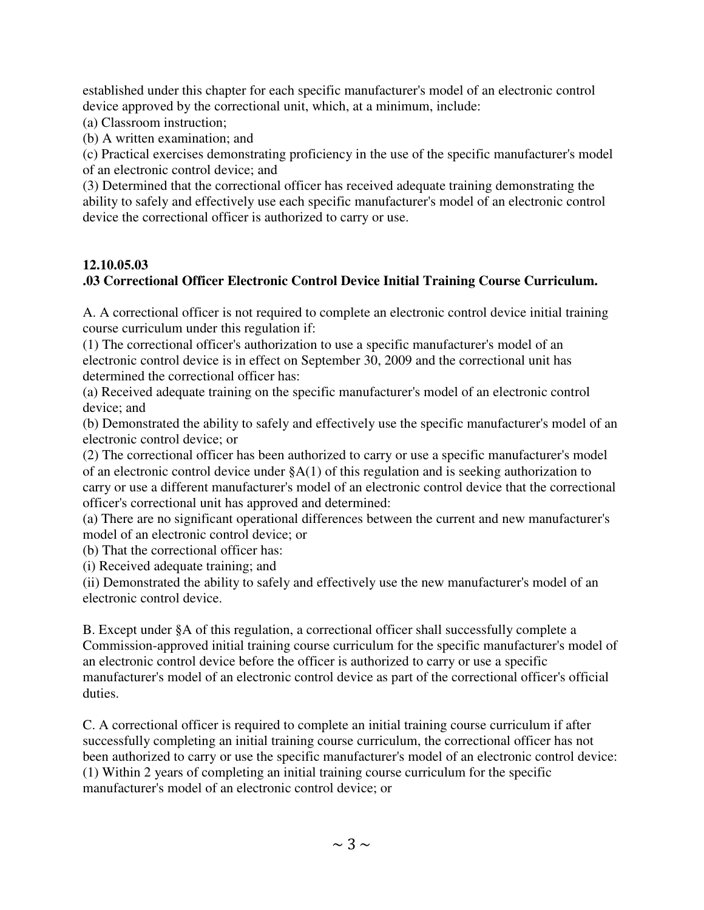established under this chapter for each specific manufacturer's model of an electronic control device approved by the correctional unit, which, at a minimum, include:

(a) Classroom instruction;

(b) A written examination; and

(c) Practical exercises demonstrating proficiency in the use of the specific manufacturer's model of an electronic control device; and

(3) Determined that the correctional officer has received adequate training demonstrating the ability to safely and effectively use each specific manufacturer's model of an electronic control device the correctional officer is authorized to carry or use.

# **12.10.05.03**

# **.03 Correctional Officer Electronic Control Device Initial Training Course Curriculum.**

A. A correctional officer is not required to complete an electronic control device initial training course curriculum under this regulation if:

(1) The correctional officer's authorization to use a specific manufacturer's model of an electronic control device is in effect on September 30, 2009 and the correctional unit has determined the correctional officer has:

(a) Received adequate training on the specific manufacturer's model of an electronic control device; and

(b) Demonstrated the ability to safely and effectively use the specific manufacturer's model of an electronic control device; or

(2) The correctional officer has been authorized to carry or use a specific manufacturer's model of an electronic control device under §A(1) of this regulation and is seeking authorization to carry or use a different manufacturer's model of an electronic control device that the correctional officer's correctional unit has approved and determined:

(a) There are no significant operational differences between the current and new manufacturer's model of an electronic control device; or

(b) That the correctional officer has:

(i) Received adequate training; and

(ii) Demonstrated the ability to safely and effectively use the new manufacturer's model of an electronic control device.

B. Except under §A of this regulation, a correctional officer shall successfully complete a Commission-approved initial training course curriculum for the specific manufacturer's model of an electronic control device before the officer is authorized to carry or use a specific manufacturer's model of an electronic control device as part of the correctional officer's official duties.

C. A correctional officer is required to complete an initial training course curriculum if after successfully completing an initial training course curriculum, the correctional officer has not been authorized to carry or use the specific manufacturer's model of an electronic control device: (1) Within 2 years of completing an initial training course curriculum for the specific manufacturer's model of an electronic control device; or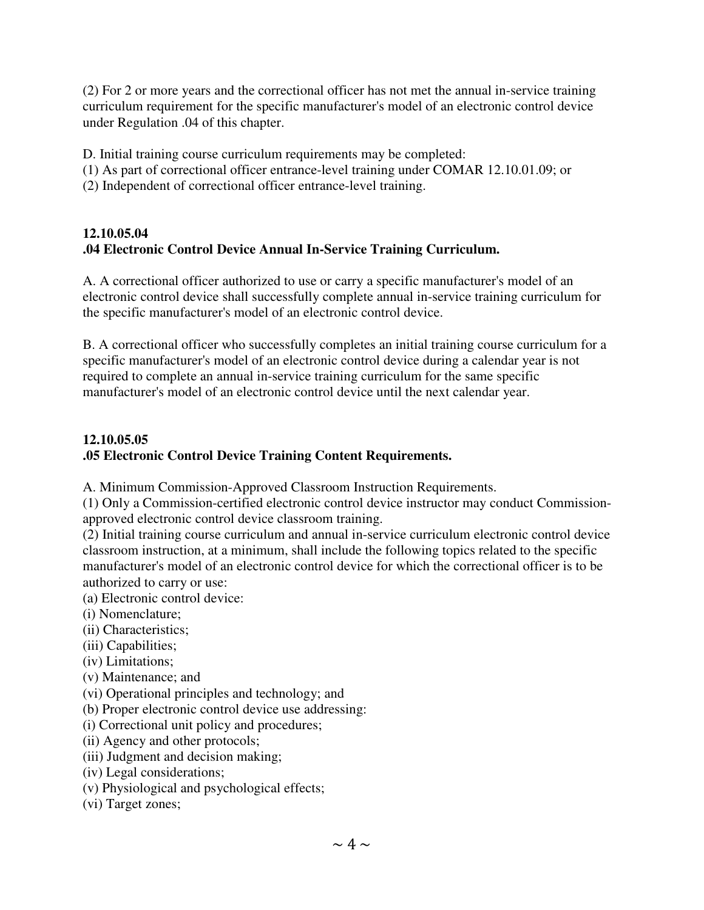(2) For 2 or more years and the correctional officer has not met the annual in-service training curriculum requirement for the specific manufacturer's model of an electronic control device under Regulation .04 of this chapter.

D. Initial training course curriculum requirements may be completed:

- (1) As part of correctional officer entrance-level training under COMAR 12.10.01.09; or
- (2) Independent of correctional officer entrance-level training.

### **12.10.05.04 .04 Electronic Control Device Annual In-Service Training Curriculum.**

A. A correctional officer authorized to use or carry a specific manufacturer's model of an electronic control device shall successfully complete annual in-service training curriculum for the specific manufacturer's model of an electronic control device.

B. A correctional officer who successfully completes an initial training course curriculum for a specific manufacturer's model of an electronic control device during a calendar year is not required to complete an annual in-service training curriculum for the same specific manufacturer's model of an electronic control device until the next calendar year.

### **12.10.05.05 .05 Electronic Control Device Training Content Requirements.**

A. Minimum Commission-Approved Classroom Instruction Requirements.

(1) Only a Commission-certified electronic control device instructor may conduct Commissionapproved electronic control device classroom training.

(2) Initial training course curriculum and annual in-service curriculum electronic control device classroom instruction, at a minimum, shall include the following topics related to the specific manufacturer's model of an electronic control device for which the correctional officer is to be authorized to carry or use:

- (a) Electronic control device:
- (i) Nomenclature;
- (ii) Characteristics;
- (iii) Capabilities;
- (iv) Limitations;
- (v) Maintenance; and
- (vi) Operational principles and technology; and
- (b) Proper electronic control device use addressing:
- (i) Correctional unit policy and procedures;
- (ii) Agency and other protocols;
- (iii) Judgment and decision making;
- (iv) Legal considerations;
- (v) Physiological and psychological effects;
- (vi) Target zones;